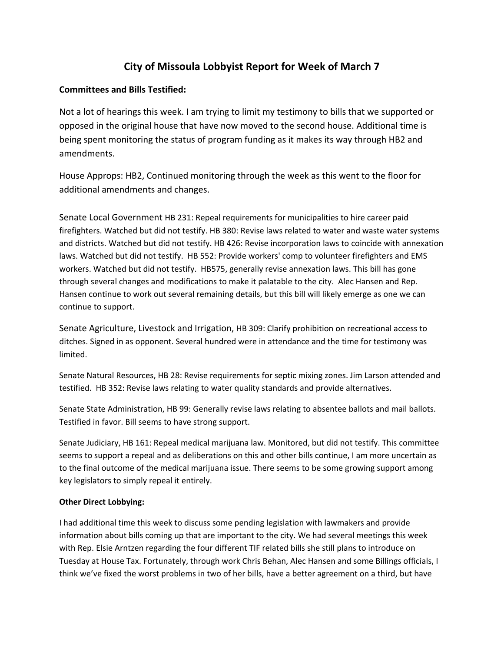## **City of Missoula Lobbyist Report for Week of March 7**

## **Committees and Bills Testified:**

Not a lot of hearings this week. I am trying to limit my testimony to bills that we supported or opposed in the original house that have now moved to the second house. Additional time is being spent monitoring the status of program funding as it makes its way through HB2 and amendments.

House Approps: HB2, Continued monitoring through the week as this went to the floor for additional amendments and changes.

Senate Local Government HB 231: Repeal requirements for municipalities to hire career paid firefighters. Watched but did not testify. HB 380: Revise laws related to water and waste water systems and districts. Watched but did not testify. HB 426: Revise incorporation laws to coincide with annexation laws. Watched but did not testify. HB 552: Provide workers' comp to volunteer firefighters and EMS workers. Watched but did not testify. HB575, generally revise annexation laws. This bill has gone through several changes and modifications to make it palatable to the city. Alec Hansen and Rep. Hansen continue to work out several remaining details, but this bill will likely emerge as one we can continue to support.

Senate Agriculture, Livestock and Irrigation, HB 309: Clarify prohibition on recreational access to ditches. Signed in as opponent. Several hundred were in attendance and the time for testimony was limited.

Senate Natural Resources, HB 28: Revise requirements for septic mixing zones. Jim Larson attended and testified. HB 352: Revise laws relating to water quality standards and provide alternatives.

Senate State Administration, HB 99: Generally revise laws relating to absentee ballots and mail ballots. Testified in favor. Bill seems to have strong support.

Senate Judiciary, HB 161: Repeal medical marijuana law. Monitored, but did not testify. This committee seems to support a repeal and as deliberations on this and other bills continue, I am more uncertain as to the final outcome of the medical marijuana issue. There seems to be some growing support among key legislators to simply repeal it entirely.

## **Other Direct Lobbying:**

I had additional time this week to discuss some pending legislation with lawmakers and provide information about bills coming up that are important to the city. We had several meetings this week with Rep. Elsie Arntzen regarding the four different TIF related bills she still plans to introduce on Tuesday at House Tax. Fortunately, through work Chris Behan, Alec Hansen and some Billings officials, I think we've fixed the worst problems in two of her bills, have a better agreement on a third, but have